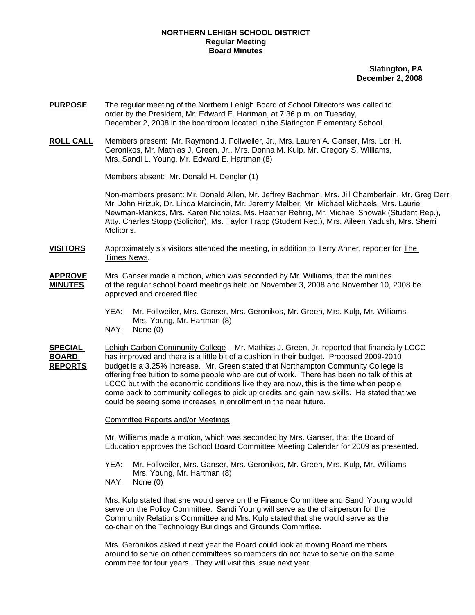## **NORTHERN LEHIGH SCHOOL DISTRICT Regular Meeting Board Minutes**

**Slatington, PA December 2, 2008**

- **PURPOSE** The regular meeting of the Northern Lehigh Board of School Directors was called to order by the President, Mr. Edward E. Hartman, at 7:36 p.m. on Tuesday, December 2, 2008 in the boardroom located in the Slatington Elementary School.
- **ROLL CALL** Members present: Mr. Raymond J. Follweiler, Jr., Mrs. Lauren A. Ganser, Mrs. Lori H. Geronikos, Mr. Mathias J. Green, Jr., Mrs. Donna M. Kulp, Mr. Gregory S. Williams, Mrs. Sandi L. Young, Mr. Edward E. Hartman (8)

Members absent: Mr. Donald H. Dengler (1)

Non-members present: Mr. Donald Allen, Mr. Jeffrey Bachman, Mrs. Jill Chamberlain, Mr. Greg Derr, Mr. John Hrizuk, Dr. Linda Marcincin, Mr. Jeremy Melber, Mr. Michael Michaels, Mrs. Laurie Newman-Mankos, Mrs. Karen Nicholas, Ms. Heather Rehrig, Mr. Michael Showak (Student Rep.), Atty. Charles Stopp (Solicitor), Ms. Taylor Trapp (Student Rep.), Mrs. Aileen Yadush, Mrs. Sherri **Molitoris** 

**VISITORS** Approximately six visitors attended the meeting, in addition to Terry Ahner, reporter for The Times News.

- **APPROVE** Mrs. Ganser made a motion, which was seconded by Mr. Williams, that the minutes **MINUTES** of the regular school board meetings held on November 3, 2008 and November 10, 2008 be approved and ordered filed.
	- YEA: Mr. Follweiler, Mrs. Ganser, Mrs. Geronikos, Mr. Green, Mrs. Kulp, Mr. Williams, Mrs. Young, Mr. Hartman (8)
	- NAY: None (0)

**SPECIAL** Lehigh Carbon Community College – Mr. Mathias J. Green, Jr. reported that financially LCCC **BOARD** has improved and there is a little bit of a cushion in their budget. Proposed 2009-2010 **REPORTS** budget is a 3.25% increase. Mr. Green stated that Northampton Community College is offering free tuition to some people who are out of work. There has been no talk of this at LCCC but with the economic conditions like they are now, this is the time when people come back to community colleges to pick up credits and gain new skills. He stated that we could be seeing some increases in enrollment in the near future.

## Committee Reports and/or Meetings

 Mr. Williams made a motion, which was seconded by Mrs. Ganser, that the Board of Education approves the School Board Committee Meeting Calendar for 2009 as presented.

- YEA: Mr. Follweiler, Mrs. Ganser, Mrs. Geronikos, Mr. Green, Mrs. Kulp, Mr. Williams Mrs. Young, Mr. Hartman (8)
- NAY: None (0)

Mrs. Kulp stated that she would serve on the Finance Committee and Sandi Young would serve on the Policy Committee. Sandi Young will serve as the chairperson for the Community Relations Committee and Mrs. Kulp stated that she would serve as the co-chair on the Technology Buildings and Grounds Committee.

Mrs. Geronikos asked if next year the Board could look at moving Board members around to serve on other committees so members do not have to serve on the same committee for four years. They will visit this issue next year.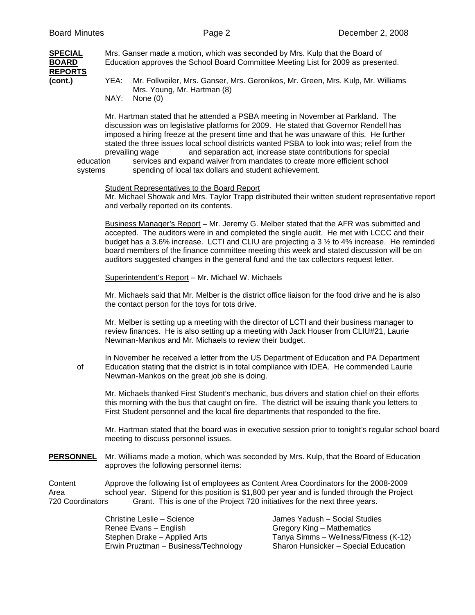| <b>SPECIAL</b>          |      | Mrs. Ganser made a motion, which was seconded by Mrs. Kulp that the Board of                                   |  |
|-------------------------|------|----------------------------------------------------------------------------------------------------------------|--|
| BOARD<br><b>REPORTS</b> |      | Education approves the School Board Committee Meeting List for 2009 as presented.                              |  |
| (cont.)                 | YEA: | Mr. Follweiler, Mrs. Ganser, Mrs. Geronikos, Mr. Green, Mrs. Kulp, Mr. Williams<br>Mrs. Young, Mr. Hartman (8) |  |
|                         | NAY: | None (0)                                                                                                       |  |

Mr. Hartman stated that he attended a PSBA meeting in November at Parkland. The discussion was on legislative platforms for 2009. He stated that Governor Rendell has imposed a hiring freeze at the present time and that he was unaware of this. He further stated the three issues local school districts wanted PSBA to look into was; relief from the prevailing wage and separation act, increase state contributions for special

education services and expand waiver from mandates to create more efficient school systems spending of local tax dollars and student achievement.

## Student Representatives to the Board Report

 Mr. Michael Showak and Mrs. Taylor Trapp distributed their written student representative report and verbally reported on its contents.

Business Manager's Report – Mr. Jeremy G. Melber stated that the AFR was submitted and accepted. The auditors were in and completed the single audit. He met with LCCC and their budget has a 3.6% increase. LCTI and CLIU are projecting a 3 ½ to 4% increase. He reminded board members of the finance committee meeting this week and stated discussion will be on auditors suggested changes in the general fund and the tax collectors request letter.

Superintendent's Report – Mr. Michael W. Michaels

Mr. Michaels said that Mr. Melber is the district office liaison for the food drive and he is also the contact person for the toys for tots drive.

Mr. Melber is setting up a meeting with the director of LCTI and their business manager to review finances. He is also setting up a meeting with Jack Houser from CLIU#21, Laurie Newman-Mankos and Mr. Michaels to review their budget.

In November he received a letter from the US Department of Education and PA Department of Education stating that the district is in total compliance with IDEA. He commended Laurie Newman-Mankos on the great job she is doing.

Mr. Michaels thanked First Student's mechanic, bus drivers and station chief on their efforts this morning with the bus that caught on fire. The district will be issuing thank you letters to First Student personnel and the local fire departments that responded to the fire.

Mr. Hartman stated that the board was in executive session prior to tonight's regular school board meeting to discuss personnel issues.

**PERSONNEL** Mr. Williams made a motion, which was seconded by Mrs. Kulp, that the Board of Education approves the following personnel items:

Content Approve the following list of employees as Content Area Coordinators for the 2008-2009 Area school year. Stipend for this position is \$1,800 per year and is funded through the Project 720 Coordinators Grant. This is one of the Project 720 initiatives for the next three years.

> Christine Leslie – Science James Yadush – Social Studies Renee Evans – English Gregory King – Mathematics Stephen Drake – Applied Arts Tanya Simms – Wellness/Fitness (K-12) Erwin Pruztman – Business/Technology Sharon Hunsicker – Special Education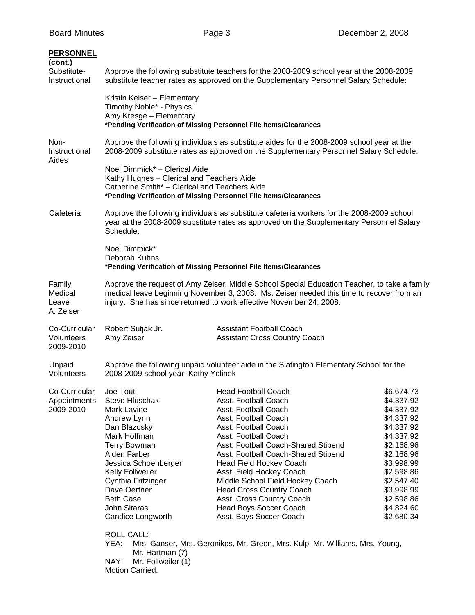| <b>PERSONNEL</b><br>(cont.)<br>Substitute-<br>Instructional | Approve the following substitute teachers for the 2008-2009 school year at the 2008-2009<br>substitute teacher rates as approved on the Supplementary Personnel Salary Schedule:                                                                                                                                           |                                                                                                                                                                                                                                                                                                                                                                                                                                                                                                                                  |                                                                                                                                                                                                                |  |  |
|-------------------------------------------------------------|----------------------------------------------------------------------------------------------------------------------------------------------------------------------------------------------------------------------------------------------------------------------------------------------------------------------------|----------------------------------------------------------------------------------------------------------------------------------------------------------------------------------------------------------------------------------------------------------------------------------------------------------------------------------------------------------------------------------------------------------------------------------------------------------------------------------------------------------------------------------|----------------------------------------------------------------------------------------------------------------------------------------------------------------------------------------------------------------|--|--|
|                                                             | Kristin Keiser - Elementary<br>Timothy Noble* - Physics<br>Amy Kresge - Elementary                                                                                                                                                                                                                                         | *Pending Verification of Missing Personnel File Items/Clearances                                                                                                                                                                                                                                                                                                                                                                                                                                                                 |                                                                                                                                                                                                                |  |  |
| Non-<br>Instructional<br>Aides                              | Approve the following individuals as substitute aides for the 2008-2009 school year at the<br>2008-2009 substitute rates as approved on the Supplementary Personnel Salary Schedule:                                                                                                                                       |                                                                                                                                                                                                                                                                                                                                                                                                                                                                                                                                  |                                                                                                                                                                                                                |  |  |
|                                                             | Noel Dimmick* - Clerical Aide<br>Kathy Hughes - Clerical and Teachers Aide<br>Catherine Smith* - Clerical and Teachers Aide<br>*Pending Verification of Missing Personnel File Items/Clearances                                                                                                                            |                                                                                                                                                                                                                                                                                                                                                                                                                                                                                                                                  |                                                                                                                                                                                                                |  |  |
| Cafeteria                                                   | Approve the following individuals as substitute cafeteria workers for the 2008-2009 school<br>year at the 2008-2009 substitute rates as approved on the Supplementary Personnel Salary<br>Schedule:                                                                                                                        |                                                                                                                                                                                                                                                                                                                                                                                                                                                                                                                                  |                                                                                                                                                                                                                |  |  |
|                                                             | Noel Dimmick*<br>Deborah Kuhns<br>*Pending Verification of Missing Personnel File Items/Clearances                                                                                                                                                                                                                         |                                                                                                                                                                                                                                                                                                                                                                                                                                                                                                                                  |                                                                                                                                                                                                                |  |  |
| Family<br>Medical<br>Leave<br>A. Zeiser                     | Approve the request of Amy Zeiser, Middle School Special Education Teacher, to take a family<br>medical leave beginning November 3, 2008. Ms. Zeiser needed this time to recover from an<br>injury. She has since returned to work effective November 24, 2008.                                                            |                                                                                                                                                                                                                                                                                                                                                                                                                                                                                                                                  |                                                                                                                                                                                                                |  |  |
| Co-Curricular<br>Volunteers<br>2009-2010                    | Robert Sutjak Jr.<br>Amy Zeiser                                                                                                                                                                                                                                                                                            | <b>Assistant Football Coach</b><br><b>Assistant Cross Country Coach</b>                                                                                                                                                                                                                                                                                                                                                                                                                                                          |                                                                                                                                                                                                                |  |  |
| Unpaid<br>Volunteers                                        | Approve the following unpaid volunteer aide in the Slatington Elementary School for the<br>2008-2009 school year: Kathy Yelinek                                                                                                                                                                                            |                                                                                                                                                                                                                                                                                                                                                                                                                                                                                                                                  |                                                                                                                                                                                                                |  |  |
| Co-Curricular<br>Appointments<br>2009-2010                  | Joe Tout<br>Steve Hluschak<br>Mark Lavine<br>Andrew Lynn<br>Dan Blazosky<br>Mark Hoffman<br><b>Terry Bowman</b><br>Alden Farber<br>Jessica Schoenberger<br>Kelly Follweiler<br>Cynthia Fritzinger<br>Dave Oertner<br><b>Beth Case</b><br>John Sitaras<br>Candice Longworth<br><b>ROLL CALL:</b><br>YEA:<br>Mr. Hartman (7) | Head Football Coach<br>Asst. Football Coach<br>Asst. Football Coach<br>Asst. Football Coach<br>Asst. Football Coach<br>Asst. Football Coach<br>Asst. Football Coach-Shared Stipend<br>Asst. Football Coach-Shared Stipend<br><b>Head Field Hockey Coach</b><br>Asst. Field Hockey Coach<br>Middle School Field Hockey Coach<br><b>Head Cross Country Coach</b><br>Asst. Cross Country Coach<br>Head Boys Soccer Coach<br>Asst. Boys Soccer Coach<br>Mrs. Ganser, Mrs. Geronikos, Mr. Green, Mrs. Kulp, Mr. Williams, Mrs. Young, | \$6,674.73<br>\$4,337.92<br>\$4,337.92<br>\$4,337.92<br>\$4,337.92<br>\$4,337.92<br>\$2,168.96<br>\$2,168.96<br>\$3,998.99<br>\$2,598.86<br>\$2,547.40<br>\$3,998.99<br>\$2,598.86<br>\$4,824.60<br>\$2,680.34 |  |  |
|                                                             | NAY:<br>Mr. Follweiler (1)<br>Motion Carried.                                                                                                                                                                                                                                                                              |                                                                                                                                                                                                                                                                                                                                                                                                                                                                                                                                  |                                                                                                                                                                                                                |  |  |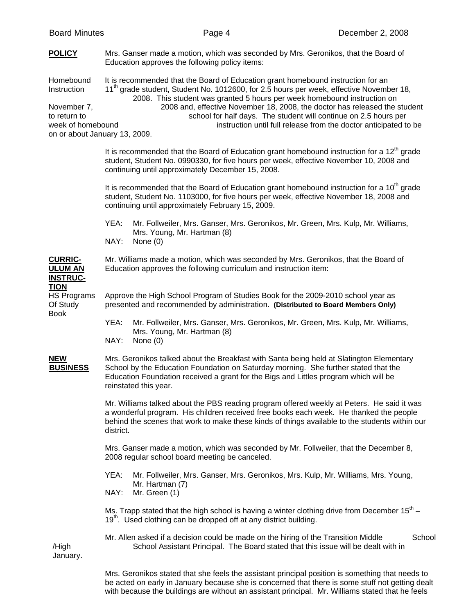| <b>POLICY</b>                                                                                                 | Mrs. Ganser made a motion, which was seconded by Mrs. Geronikos, that the Board of<br>Education approves the following policy items:                                                                                                                                                                                                                                                                                                                                                      |  |  |
|---------------------------------------------------------------------------------------------------------------|-------------------------------------------------------------------------------------------------------------------------------------------------------------------------------------------------------------------------------------------------------------------------------------------------------------------------------------------------------------------------------------------------------------------------------------------------------------------------------------------|--|--|
| Homebound<br>Instruction<br>November 7,<br>to return to<br>week of homebound<br>on or about January 13, 2009. | It is recommended that the Board of Education grant homebound instruction for an<br>11 <sup>th</sup> grade student, Student No. 1012600, for 2.5 hours per week, effective November 18,<br>2008. This student was granted 5 hours per week homebound instruction on<br>2008 and, effective November 18, 2008, the doctor has released the student<br>school for half days. The student will continue on 2.5 hours per<br>instruction until full release from the doctor anticipated to be |  |  |
|                                                                                                               | It is recommended that the Board of Education grant homebound instruction for a $12th$ grade<br>student, Student No. 0990330, for five hours per week, effective November 10, 2008 and<br>continuing until approximately December 15, 2008.                                                                                                                                                                                                                                               |  |  |
|                                                                                                               | It is recommended that the Board of Education grant homebound instruction for a 10 <sup>th</sup> grade<br>student, Student No. 1103000, for five hours per week, effective November 18, 2008 and<br>continuing until approximately February 15, 2009.                                                                                                                                                                                                                                     |  |  |
|                                                                                                               | YEA:<br>Mr. Follweiler, Mrs. Ganser, Mrs. Geronikos, Mr. Green, Mrs. Kulp, Mr. Williams,<br>Mrs. Young, Mr. Hartman (8)<br>NAY:<br>None (0)                                                                                                                                                                                                                                                                                                                                               |  |  |
| <b>CURRIC-</b><br><b>ULUM AN</b><br><b>INSTRUC-</b>                                                           | Mr. Williams made a motion, which was seconded by Mrs. Geronikos, that the Board of<br>Education approves the following curriculum and instruction item:                                                                                                                                                                                                                                                                                                                                  |  |  |
| <b>TION</b><br><b>HS Programs</b><br>Of Study<br><b>Book</b>                                                  | Approve the High School Program of Studies Book for the 2009-2010 school year as<br>presented and recommended by administration. (Distributed to Board Members Only)                                                                                                                                                                                                                                                                                                                      |  |  |
|                                                                                                               | YEA:<br>Mr. Follweiler, Mrs. Ganser, Mrs. Geronikos, Mr. Green, Mrs. Kulp, Mr. Williams,<br>Mrs. Young, Mr. Hartman (8)<br>NAY:<br>None $(0)$                                                                                                                                                                                                                                                                                                                                             |  |  |
| <b>NEW</b><br><b>BUSINESS</b>                                                                                 | Mrs. Geronikos talked about the Breakfast with Santa being held at Slatington Elementary<br>School by the Education Foundation on Saturday morning. She further stated that the<br>Education Foundation received a grant for the Bigs and Littles program which will be<br>reinstated this year.                                                                                                                                                                                          |  |  |
|                                                                                                               | Mr. Williams talked about the PBS reading program offered weekly at Peters. He said it was<br>a wonderful program. His children received free books each week. He thanked the people<br>behind the scenes that work to make these kinds of things available to the students within our<br>district.                                                                                                                                                                                       |  |  |
|                                                                                                               | Mrs. Ganser made a motion, which was seconded by Mr. Follweiler, that the December 8,<br>2008 regular school board meeting be canceled.                                                                                                                                                                                                                                                                                                                                                   |  |  |
|                                                                                                               | YEA:<br>Mr. Follweiler, Mrs. Ganser, Mrs. Geronikos, Mrs. Kulp, Mr. Williams, Mrs. Young,<br>Mr. Hartman (7)<br>NAY:<br>Mr. Green (1)                                                                                                                                                                                                                                                                                                                                                     |  |  |
|                                                                                                               | Ms. Trapp stated that the high school is having a winter clothing drive from December $15^{th}$ –<br>19 <sup>th</sup> . Used clothing can be dropped off at any district building.                                                                                                                                                                                                                                                                                                        |  |  |
| /High<br>January.                                                                                             | Mr. Allen asked if a decision could be made on the hiring of the Transition Middle<br>School<br>School Assistant Principal. The Board stated that this issue will be dealt with in                                                                                                                                                                                                                                                                                                        |  |  |

 Mrs. Geronikos stated that she feels the assistant principal position is something that needs to be acted on early in January because she is concerned that there is some stuff not getting dealt with because the buildings are without an assistant principal. Mr. Williams stated that he feels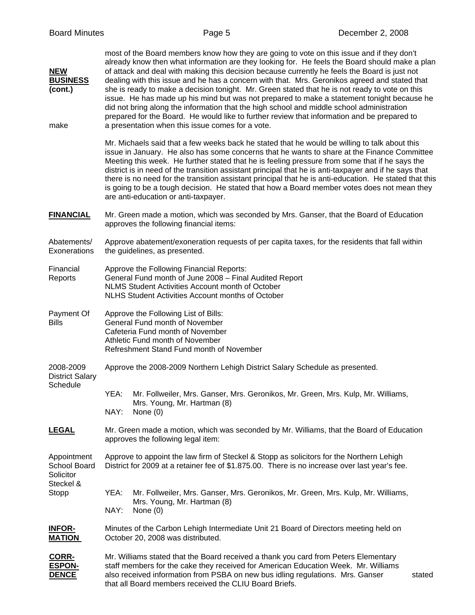| <b>NEW</b><br><b>BUSINESS</b><br>(cont.)<br>make      | most of the Board members know how they are going to vote on this issue and if they don't<br>already know then what information are they looking for. He feels the Board should make a plan<br>of attack and deal with making this decision because currently he feels the Board is just not<br>dealing with this issue and he has a concern with that. Mrs. Geronikos agreed and stated that<br>she is ready to make a decision tonight. Mr. Green stated that he is not ready to vote on this<br>issue. He has made up his mind but was not prepared to make a statement tonight because he<br>did not bring along the information that the high school and middle school administration<br>prepared for the Board. He would like to further review that information and be prepared to<br>a presentation when this issue comes for a vote. |  |  |  |  |
|-------------------------------------------------------|-----------------------------------------------------------------------------------------------------------------------------------------------------------------------------------------------------------------------------------------------------------------------------------------------------------------------------------------------------------------------------------------------------------------------------------------------------------------------------------------------------------------------------------------------------------------------------------------------------------------------------------------------------------------------------------------------------------------------------------------------------------------------------------------------------------------------------------------------|--|--|--|--|
|                                                       | Mr. Michaels said that a few weeks back he stated that he would be willing to talk about this<br>issue in January. He also has some concerns that he wants to share at the Finance Committee<br>Meeting this week. He further stated that he is feeling pressure from some that if he says the<br>district is in need of the transition assistant principal that he is anti-taxpayer and if he says that<br>there is no need for the transition assistant principal that he is anti-education. He stated that this<br>is going to be a tough decision. He stated that how a Board member votes does not mean they<br>are anti-education or anti-taxpayer.                                                                                                                                                                                     |  |  |  |  |
| <b>FINANCIAL</b>                                      | Mr. Green made a motion, which was seconded by Mrs. Ganser, that the Board of Education<br>approves the following financial items:                                                                                                                                                                                                                                                                                                                                                                                                                                                                                                                                                                                                                                                                                                            |  |  |  |  |
| Abatements/<br>Exonerations                           | Approve abatement/exoneration requests of per capita taxes, for the residents that fall within<br>the guidelines, as presented.                                                                                                                                                                                                                                                                                                                                                                                                                                                                                                                                                                                                                                                                                                               |  |  |  |  |
| Financial<br>Reports                                  | Approve the Following Financial Reports:<br>General Fund month of June 2008 - Final Audited Report<br>NLMS Student Activities Account month of October<br><b>NLHS Student Activities Account months of October</b>                                                                                                                                                                                                                                                                                                                                                                                                                                                                                                                                                                                                                            |  |  |  |  |
| Payment Of<br><b>Bills</b>                            | Approve the Following List of Bills:<br>General Fund month of November<br>Cafeteria Fund month of November<br>Athletic Fund month of November<br>Refreshment Stand Fund month of November                                                                                                                                                                                                                                                                                                                                                                                                                                                                                                                                                                                                                                                     |  |  |  |  |
| 2008-2009<br><b>District Salary</b>                   | Approve the 2008-2009 Northern Lehigh District Salary Schedule as presented.                                                                                                                                                                                                                                                                                                                                                                                                                                                                                                                                                                                                                                                                                                                                                                  |  |  |  |  |
| Schedule                                              | YEA:<br>Mr. Follweiler, Mrs. Ganser, Mrs. Geronikos, Mr. Green, Mrs. Kulp, Mr. Williams,<br>Mrs. Young, Mr. Hartman (8)<br>NAY:<br>None (0)                                                                                                                                                                                                                                                                                                                                                                                                                                                                                                                                                                                                                                                                                                   |  |  |  |  |
| <u>LEGAL</u>                                          | Mr. Green made a motion, which was seconded by Mr. Williams, that the Board of Education<br>approves the following legal item:                                                                                                                                                                                                                                                                                                                                                                                                                                                                                                                                                                                                                                                                                                                |  |  |  |  |
| Appointment<br>School Board<br>Solicitor<br>Steckel & | Approve to appoint the law firm of Steckel & Stopp as solicitors for the Northern Lehigh<br>District for 2009 at a retainer fee of \$1.875.00. There is no increase over last year's fee.                                                                                                                                                                                                                                                                                                                                                                                                                                                                                                                                                                                                                                                     |  |  |  |  |
| Stopp                                                 | Mr. Follweiler, Mrs. Ganser, Mrs. Geronikos, Mr. Green, Mrs. Kulp, Mr. Williams,<br>YEA:<br>Mrs. Young, Mr. Hartman (8)<br>NAY:<br>None $(0)$                                                                                                                                                                                                                                                                                                                                                                                                                                                                                                                                                                                                                                                                                                 |  |  |  |  |
| <b>INFOR-</b><br><b>MATION</b>                        | Minutes of the Carbon Lehigh Intermediate Unit 21 Board of Directors meeting held on<br>October 20, 2008 was distributed.                                                                                                                                                                                                                                                                                                                                                                                                                                                                                                                                                                                                                                                                                                                     |  |  |  |  |
| CORR-<br><b>ESPON-</b><br><b>DENCE</b>                | Mr. Williams stated that the Board received a thank you card from Peters Elementary<br>staff members for the cake they received for American Education Week. Mr. Williams<br>also received information from PSBA on new bus idling regulations. Mrs. Ganser<br>stated<br>that all Board members received the CLIU Board Briefs.                                                                                                                                                                                                                                                                                                                                                                                                                                                                                                               |  |  |  |  |